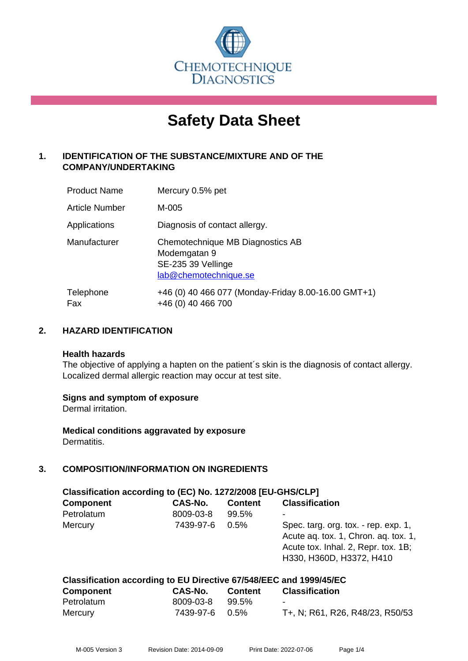

# **Safety Data Sheet**

# **1. IDENTIFICATION OF THE SUBSTANCE/MIXTURE AND OF THE COMPANY/UNDERTAKING**

| <b>Product Name</b> | Mercury 0.5% pet                                                                                |
|---------------------|-------------------------------------------------------------------------------------------------|
| Article Number      | M-005                                                                                           |
| Applications        | Diagnosis of contact allergy.                                                                   |
| Manufacturer        | Chemotechnique MB Diagnostics AB<br>Modemgatan 9<br>SE-235 39 Vellinge<br>lab@chemotechnique.se |
| Telephone<br>Fax    | +46 (0) 40 466 077 (Monday-Friday 8.00-16.00 GMT+1)<br>+46 (0) 40 466 700                       |

## **2. HAZARD IDENTIFICATION**

#### **Health hazards**

The objective of applying a hapten on the patient's skin is the diagnosis of contact allergy. Localized dermal allergic reaction may occur at test site.

#### **Signs and symptom of exposure**

Dermal irritation.

**Medical conditions aggravated by exposure** Dermatitis.

# **3. COMPOSITION/INFORMATION ON INGREDIENTS**

| Classification according to (EC) No. 1272/2008 [EU-GHS/CLP] |           |                |                                                                                                                                                 |  |
|-------------------------------------------------------------|-----------|----------------|-------------------------------------------------------------------------------------------------------------------------------------------------|--|
| <b>Component</b>                                            | CAS-No.   | <b>Content</b> | <b>Classification</b>                                                                                                                           |  |
| Petrolatum                                                  | 8009-03-8 | 99.5%          |                                                                                                                                                 |  |
| Mercury                                                     | 7439-97-6 | $0.5\%$        | Spec. targ. org. tox. - rep. exp. 1,<br>Acute ag. tox. 1, Chron. ag. tox. 1,<br>Acute tox. Inhal. 2, Repr. tox. 1B;<br>H330, H360D, H3372, H410 |  |

| Classification according to EU Directive 67/548/EEC and 1999/45/EC |                |                |                                 |  |
|--------------------------------------------------------------------|----------------|----------------|---------------------------------|--|
| <b>Component</b>                                                   | CAS-No.        | <b>Content</b> | <b>Classification</b>           |  |
| Petrolatum                                                         | 8009-03-8      | 99.5%          | $\blacksquare$                  |  |
| Mercury                                                            | 7439-97-6 0.5% |                | T+, N; R61, R26, R48/23, R50/53 |  |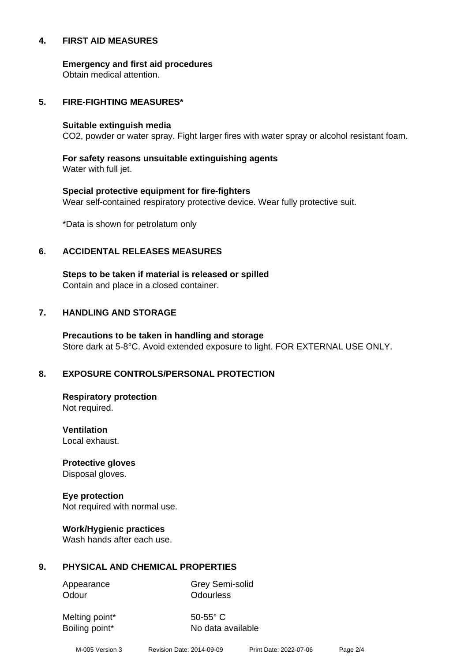#### **4. FIRST AID MEASURES**

**Emergency and first aid procedures**

Obtain medical attention.

#### **5. FIRE-FIGHTING MEASURES\***

#### **Suitable extinguish media**

CO2, powder or water spray. Fight larger fires with water spray or alcohol resistant foam.

# **For safety reasons unsuitable extinguishing agents**

Water with full jet.

# **Special protective equipment for fire-fighters** Wear self-contained respiratory protective device. Wear fully protective suit.

\*Data is shown for petrolatum only

# **6. ACCIDENTAL RELEASES MEASURES**

**Steps to be taken if material is released or spilled** Contain and place in a closed container.

# **7. HANDLING AND STORAGE**

**Precautions to be taken in handling and storage** Store dark at 5-8°C. Avoid extended exposure to light. FOR EXTERNAL USE ONLY.

# **8. EXPOSURE CONTROLS/PERSONAL PROTECTION**

**Respiratory protection** Not required.

**Ventilation** Local exhaust.

**Protective gloves** Disposal gloves.

# **Eye protection**

Not required with normal use.

#### **Work/Hygienic practices**

Wash hands after each use.

#### **9. PHYSICAL AND CHEMICAL PROPERTIES**

Odour **Odourless** 

Appearance Grey Semi-solid

Melting point\* 50-55° C

Boiling point\* No data available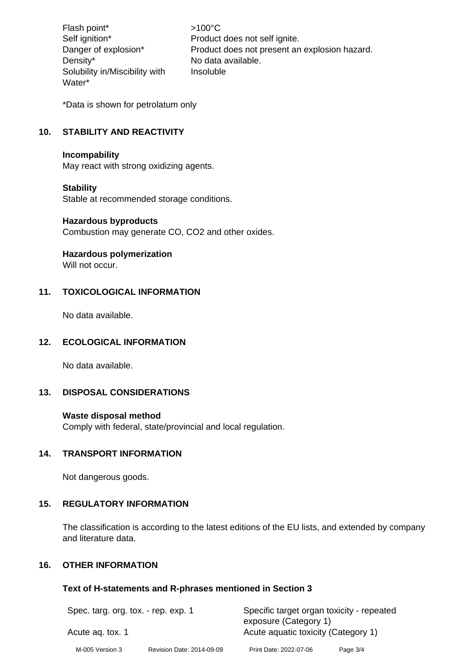Flash point\*  $>100^{\circ}$ C Density\* No data available. Solubility in/Miscibility with Water\*

Self ignition\* Product does not self ignite. Danger of explosion\* Product does not present an explosion hazard. Insoluble

\*Data is shown for petrolatum only

# **10. STABILITY AND REACTIVITY**

#### **Incompability**

May react with strong oxidizing agents.

#### **Stability**

Stable at recommended storage conditions.

#### **Hazardous byproducts**

Combustion may generate CO, CO2 and other oxides.

# **Hazardous polymerization**

Will not occur.

## **11. TOXICOLOGICAL INFORMATION**

No data available.

#### **12. ECOLOGICAL INFORMATION**

No data available.

#### **13. DISPOSAL CONSIDERATIONS**

#### **Waste disposal method**

Comply with federal, state/provincial and local regulation.

#### **14. TRANSPORT INFORMATION**

Not dangerous goods.

#### **15. REGULATORY INFORMATION**

The classification is according to the latest editions of the EU lists, and extended by company and literature data.

# **16. OTHER INFORMATION**

#### **Text of H-statements and R-phrases mentioned in Section 3**

| Spec. targ. org. tox. - rep. exp. 1<br>Acute ag. tox. 1 |  | Specific target organ toxicity - repeated<br>exposure (Category 1)<br>Acute aguatic toxicity (Category 1) |  |  |
|---------------------------------------------------------|--|-----------------------------------------------------------------------------------------------------------|--|--|
|                                                         |  |                                                                                                           |  |  |